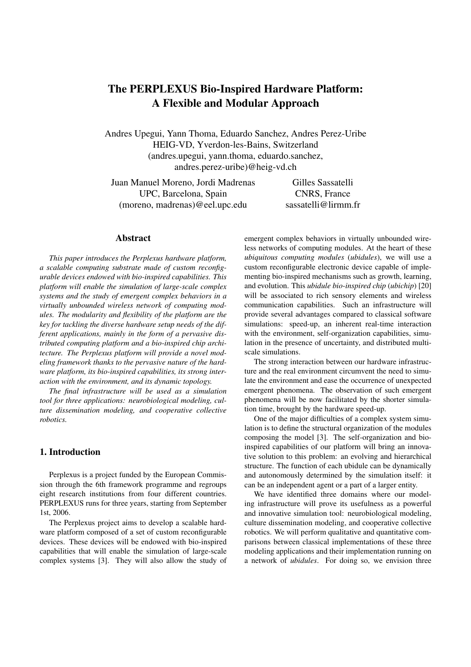# **The PERPLEXUS Bio-Inspired Hardware Platform: A Flexible and Modular Approach**

Andres Upegui, Yann Thoma, Eduardo Sanchez, Andres Perez-Uribe HEIG-VD, Yverdon-les-Bains, Switzerland (andres.upegui, yann.thoma, eduardo.sanchez, andres.perez-uribe)@heig-vd.ch

Juan Manuel Moreno, Jordi Madrenas UPC, Barcelona, Spain (moreno, madrenas)@eel.upc.edu Gilles Sassatelli CNRS, France sassatelli@lirmm.fr

**Abstract**

*This paper introduces the Perplexus hardware platform, a scalable computing substrate made of custom reconfigurable devices endowed with bio-inspired capabilities. This platform will enable the simulation of large-scale complex systems and the study of emergent complex behaviors in a virtually unbounded wireless network of computing modules. The modularity and flexibility of the platform are the key for tackling the diverse hardware setup needs of the different applications, mainly in the form of a pervasive distributed computing platform and a bio-inspired chip architecture. The Perplexus platform will provide a novel modeling framework thanks to the pervasive nature of the hardware platform, its bio-inspired capabilities, its strong interaction with the environment, and its dynamic topology.*

*The final infrastructure will be used as a simulation tool for three applications: neurobiological modeling, culture dissemination modeling, and cooperative collective robotics.*

# **1. Introduction**

Perplexus is a project funded by the European Commission through the 6th framework programme and regroups eight research institutions from four different countries. PERPLEXUS runs for three years, starting from September 1st, 2006.

The Perplexus project aims to develop a scalable hardware platform composed of a set of custom reconfigurable devices. These devices will be endowed with bio-inspired capabilities that will enable the simulation of large-scale complex systems [3]. They will also allow the study of emergent complex behaviors in virtually unbounded wireless networks of computing modules. At the heart of these *ubiquitous computing modules* (*ubidules*), we will use a custom reconfigurable electronic device capable of implementing bio-inspired mechanisms such as growth, learning, and evolution. This *ubidule bio-inspired chip* (*ubichip*) [20] will be associated to rich sensory elements and wireless communication capabilities. Such an infrastructure will provide several advantages compared to classical software simulations: speed-up, an inherent real-time interaction with the environment, self-organization capabilities, simulation in the presence of uncertainty, and distributed multiscale simulations.

The strong interaction between our hardware infrastructure and the real environment circumvent the need to simulate the environment and ease the occurrence of unexpected emergent phenomena. The observation of such emergent phenomena will be now facilitated by the shorter simulation time, brought by the hardware speed-up.

One of the major difficulties of a complex system simulation is to define the structural organization of the modules composing the model [3]. The self-organization and bioinspired capabilities of our platform will bring an innovative solution to this problem: an evolving and hierarchical structure. The function of each ubidule can be dynamically and autonomously determined by the simulation itself: it can be an independent agent or a part of a larger entity.

We have identified three domains where our modeling infrastructure will prove its usefulness as a powerful and innovative simulation tool: neurobiological modeling, culture dissemination modeling, and cooperative collective robotics. We will perform qualitative and quantitative comparisons between classical implementations of these three modeling applications and their implementation running on a network of *ubidules*. For doing so, we envision three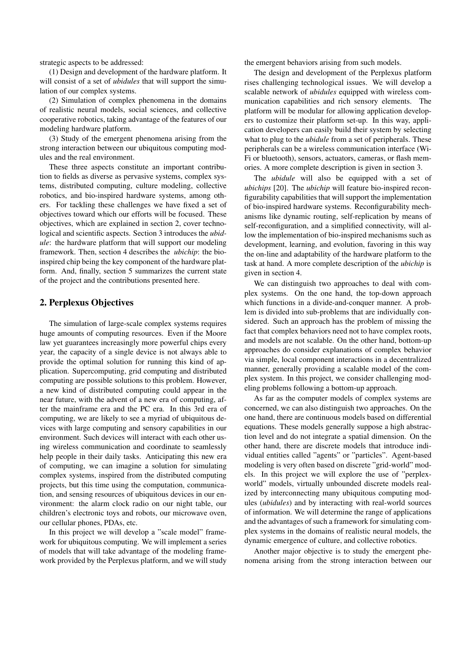strategic aspects to be addressed:

(1) Design and development of the hardware platform. It will consist of a set of *ubidules* that will support the simulation of our complex systems.

(2) Simulation of complex phenomena in the domains of realistic neural models, social sciences, and collective cooperative robotics, taking advantage of the features of our modeling hardware platform.

(3) Study of the emergent phenomena arising from the strong interaction between our ubiquitous computing modules and the real environment.

These three aspects constitute an important contribution to fields as diverse as pervasive systems, complex systems, distributed computing, culture modeling, collective robotics, and bio-inspired hardware systems, among others. For tackling these challenges we have fixed a set of objectives toward which our efforts will be focused. These objectives, which are explained in section 2, cover technological and scientific aspects. Section 3 introduces the *ubidule*: the hardware platform that will support our modeling framework. Then, section 4 describes the *ubichip*: the bioinspired chip being the key component of the hardware platform. And, finally, section 5 summarizes the current state of the project and the contributions presented here.

## **2. Perplexus Objectives**

The simulation of large-scale complex systems requires huge amounts of computing resources. Even if the Moore law yet guarantees increasingly more powerful chips every year, the capacity of a single device is not always able to provide the optimal solution for running this kind of application. Supercomputing, grid computing and distributed computing are possible solutions to this problem. However, a new kind of distributed computing could appear in the near future, with the advent of a new era of computing, after the mainframe era and the PC era. In this 3rd era of computing, we are likely to see a myriad of ubiquitous devices with large computing and sensory capabilities in our environment. Such devices will interact with each other using wireless communication and coordinate to seamlessly help people in their daily tasks. Anticipating this new era of computing, we can imagine a solution for simulating complex systems, inspired from the distributed computing projects, but this time using the computation, communication, and sensing resources of ubiquitous devices in our environment: the alarm clock radio on our night table, our children's electronic toys and robots, our microwave oven, our cellular phones, PDAs, etc.

In this project we will develop a "scale model" framework for ubiquitous computing. We will implement a series of models that will take advantage of the modeling framework provided by the Perplexus platform, and we will study the emergent behaviors arising from such models.

The design and development of the Perplexus platform rises challenging technological issues. We will develop a scalable network of *ubidules* equipped with wireless communication capabilities and rich sensory elements. The platform will be modular for allowing application developers to customize their platform set-up. In this way, application developers can easily build their system by selecting what to plug to the *ubidule* from a set of peripherals. These peripherals can be a wireless communication interface (Wi-Fi or bluetooth), sensors, actuators, cameras, or flash memories. A more complete description is given in section 3.

The *ubidule* will also be equipped with a set of *ubichips* [20]. The *ubichip* will feature bio-inspired reconfigurability capabilities that will support the implementation of bio-inspired hardware systems. Reconfigurability mechanisms like dynamic routing, self-replication by means of self-reconfiguration, and a simplified connectivity, will allow the implementation of bio-inspired mechanisms such as development, learning, and evolution, favoring in this way the on-line and adaptability of the hardware platform to the task at hand. A more complete description of the *ubichip* is given in section 4.

We can distinguish two approaches to deal with complex systems. On the one hand, the top-down approach which functions in a divide-and-conquer manner. A problem is divided into sub-problems that are individually considered. Such an approach has the problem of missing the fact that complex behaviors need not to have complex roots, and models are not scalable. On the other hand, bottom-up approaches do consider explanations of complex behavior via simple, local component interactions in a decentralized manner, generally providing a scalable model of the complex system. In this project, we consider challenging modeling problems following a bottom-up approach.

As far as the computer models of complex systems are concerned, we can also distinguish two approaches. On the one hand, there are continuous models based on differential equations. These models generally suppose a high abstraction level and do not integrate a spatial dimension. On the other hand, there are discrete models that introduce individual entities called "agents" or "particles". Agent-based modeling is very often based on discrete "grid-world" models. In this project we will explore the use of "perplexworld" models, virtually unbounded discrete models realized by interconnecting many ubiquitous computing modules (*ubidules*) and by interacting with real-world sources of information. We will determine the range of applications and the advantages of such a framework for simulating complex systems in the domains of realistic neural models, the dynamic emergence of culture, and collective robotics.

Another major objective is to study the emergent phenomena arising from the strong interaction between our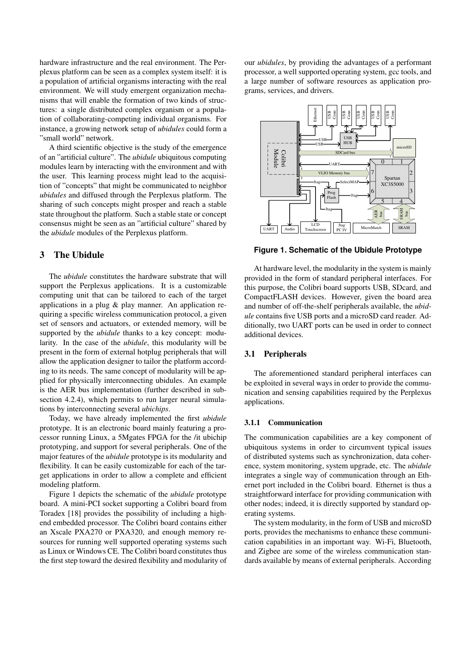hardware infrastructure and the real environment. The Perplexus platform can be seen as a complex system itself: it is a population of artificial organisms interacting with the real environment. We will study emergent organization mechanisms that will enable the formation of two kinds of structures: a single distributed complex organism or a population of collaborating-competing individual organisms. For instance, a growing network setup of *ubidules* could form a "small world" network.

A third scientific objective is the study of the emergence of an "artificial culture". The *ubidule* ubiquitous computing modules learn by interacting with the environment and with the user. This learning process might lead to the acquisition of "concepts" that might be communicated to neighbor *ubidules* and diffused through the Perplexus platform. The sharing of such concepts might prosper and reach a stable state throughout the platform. Such a stable state or concept consensus might be seen as an "artificial culture" shared by the *ubidule* modules of the Perplexus platform.

# **3 The Ubidule**

The *ubidule* constitutes the hardware substrate that will support the Perplexus applications. It is a customizable computing unit that can be tailored to each of the target applications in a plug & play manner. An application requiring a specific wireless communication protocol, a given set of sensors and actuators, or extended memory, will be supported by the *ubidule* thanks to a key concept: modularity. In the case of the *ubidule*, this modularity will be present in the form of external hotplug peripherals that will allow the application designer to tailor the platform according to its needs. The same concept of modularity will be applied for physically interconnecting ubidules. An example is the AER bus implementation (further described in subsection 4.2.4), which permits to run larger neural simulations by interconnecting several *ubichips*.

Today, we have already implemented the first *ubidule* prototype. It is an electronic board mainly featuring a processor running Linux, a 5Mgates FPGA for the /it ubichip prototyping, and support for several peripherals. One of the major features of the *ubidule* prototype is its modularity and flexibility. It can be easily customizable for each of the target applications in order to allow a complete and efficient modeling platform.

Figure 1 depicts the schematic of the *ubidule* prototype board. A mini-PCI socket supporting a Colibri board from Toradex [18] provides the possibility of including a highend embedded processor. The Colibri board contains either an Xscale PXA270 or PXA320, and enough memory resources for running well supported operating systems such as Linux or Windows CE. The Colibri board constitutes thus the first step toward the desired flexibility and modularity of our *ubidules*, by providing the advantages of a performant processor, a well supported operating system, gcc tools, and a large number of software resources as application programs, services, and drivers.



**Figure 1. Schematic of the Ubidule Prototype**

At hardware level, the modularity in the system is mainly provided in the form of standard peripheral interfaces. For this purpose, the Colibri board supports USB, SDcard, and CompactFLASH devices. However, given the board area and number of off-the-shelf peripherals available, the *ubidule* contains five USB ports and a microSD card reader. Additionally, two UART ports can be used in order to connect additional devices.

#### **3.1 Peripherals**

The aforementioned standard peripheral interfaces can be exploited in several ways in order to provide the communication and sensing capabilities required by the Perplexus applications.

# **3.1.1 Communication**

The communication capabilities are a key component of ubiquitous systems in order to circumvent typical issues of distributed systems such as synchronization, data coherence, system monitoring, system upgrade, etc. The *ubidule* integrates a single way of communication through an Ethernet port included in the Colibri board. Ethernet is thus a straightforward interface for providing communication with other nodes; indeed, it is directly supported by standard operating systems.

The system modularity, in the form of USB and microSD ports, provides the mechanisms to enhance these communication capabilities in an important way. Wi-Fi, Bluetooth, and Zigbee are some of the wireless communication standards available by means of external peripherals. According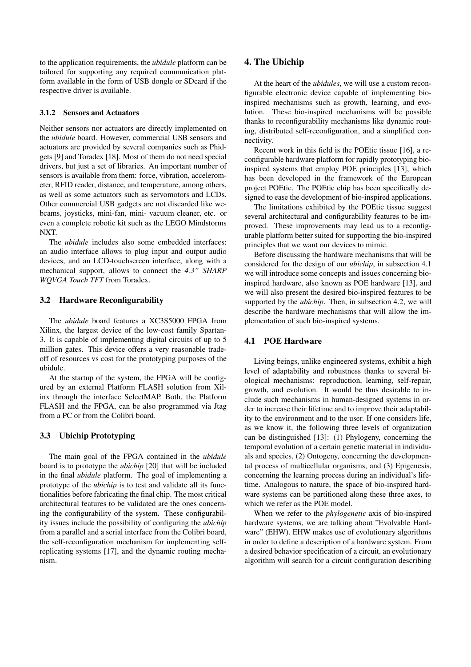to the application requirements, the *ubidule* platform can be tailored for supporting any required communication platform available in the form of USB dongle or SDcard if the respective driver is available.

#### **3.1.2 Sensors and Actuators**

Neither sensors nor actuators are directly implemented on the *ubidule* board. However, commercial USB sensors and actuators are provided by several companies such as Phidgets [9] and Toradex [18]. Most of them do not need special drivers, but just a set of libraries. An important number of sensors is available from them: force, vibration, accelerometer, RFID reader, distance, and temperature, among others, as well as some actuators such as servomotors and LCDs. Other commercial USB gadgets are not discarded like webcams, joysticks, mini-fan, mini- vacuum cleaner, etc. or even a complete robotic kit such as the LEGO Mindstorms NXT.

The *ubidule* includes also some embedded interfaces: an audio interface allows to plug input and output audio devices, and an LCD-touchscreen interface, along with a mechanical support, allows to connect the *4.3" SHARP WQVGA Touch TFT* from Toradex.

# **3.2 Hardware Reconfigurability**

The *ubidule* board features a XC3S5000 FPGA from Xilinx, the largest device of the low-cost family Spartan-3. It is capable of implementing digital circuits of up to 5 million gates. This device offers a very reasonable tradeoff of resources vs cost for the prototyping purposes of the ubidule.

At the startup of the system, the FPGA will be configured by an external Platform FLASH solution from Xilinx through the interface SelectMAP. Both, the Platform FLASH and the FPGA, can be also programmed via Jtag from a PC or from the Colibri board.

## **3.3 Ubichip Prototyping**

The main goal of the FPGA contained in the *ubidule* board is to prototype the *ubichip* [20] that will be included in the final *ubidule* platform. The goal of implementing a prototype of the *ubichip* is to test and validate all its functionalities before fabricating the final chip. The most critical architectural features to be validated are the ones concerning the configurability of the system. These configurability issues include the possibility of configuring the *ubichip* from a parallel and a serial interface from the Colibri board, the self-reconfiguration mechanism for implementing selfreplicating systems [17], and the dynamic routing mechanism.

# **4. The Ubichip**

At the heart of the *ubidules*, we will use a custom reconfigurable electronic device capable of implementing bioinspired mechanisms such as growth, learning, and evolution. These bio-inspired mechanisms will be possible thanks to reconfigurability mechanisms like dynamic routing, distributed self-reconfiguration, and a simplified connectivity.

Recent work in this field is the POEtic tissue [16], a reconfigurable hardware platform for rapidly prototyping bioinspired systems that employ POE principles [13], which has been developed in the framework of the European project POEtic. The POEtic chip has been specifically designed to ease the development of bio-inspired applications.

The limitations exhibited by the POEtic tissue suggest several architectural and configurability features to be improved. These improvements may lead us to a reconfigurable platform better suited for supporting the bio-inspired principles that we want our devices to mimic.

Before discussing the hardware mechanisms that will be considered for the design of our *ubichip*, in subsection 4.1 we will introduce some concepts and issues concerning bioinspired hardware, also known as POE hardware [13], and we will also present the desired bio-inspired features to be supported by the *ubichip*. Then, in subsection 4.2, we will describe the hardware mechanisms that will allow the implementation of such bio-inspired systems.

## **4.1 POE Hardware**

Living beings, unlike engineered systems, exhibit a high level of adaptability and robustness thanks to several biological mechanisms: reproduction, learning, self-repair, growth, and evolution. It would be thus desirable to include such mechanisms in human-designed systems in order to increase their lifetime and to improve their adaptability to the environment and to the user. If one considers life, as we know it, the following three levels of organization can be distinguished [13]: (1) Phylogeny, concerning the temporal evolution of a certain genetic material in individuals and species, (2) Ontogeny, concerning the developmental process of multicellular organisms, and (3) Epigenesis, concerning the learning process during an individual's lifetime. Analogous to nature, the space of bio-inspired hardware systems can be partitioned along these three axes, to which we refer as the POE model.

When we refer to the *phylogenetic* axis of bio-inspired hardware systems, we are talking about "Evolvable Hardware" (EHW). EHW makes use of evolutionary algorithms in order to define a description of a hardware system. From a desired behavior specification of a circuit, an evolutionary algorithm will search for a circuit configuration describing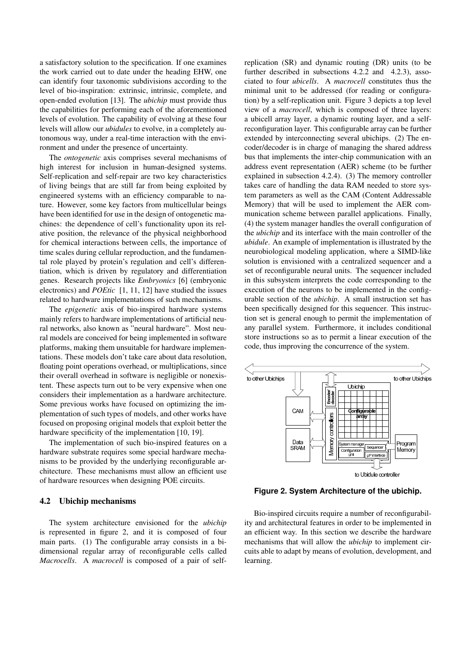a satisfactory solution to the specification. If one examines the work carried out to date under the heading EHW, one can identify four taxonomic subdivisions according to the level of bio-inspiration: extrinsic, intrinsic, complete, and open-ended evolution [13]. The *ubichip* must provide thus the capabilities for performing each of the aforementioned levels of evolution. The capability of evolving at these four levels will allow our *ubidules* to evolve, in a completely autonomous way, under a real-time interaction with the environment and under the presence of uncertainty.

The *ontogenetic* axis comprises several mechanisms of high interest for inclusion in human-designed systems. Self-replication and self-repair are two key characteristics of living beings that are still far from being exploited by engineered systems with an efficiency comparable to nature. However, some key factors from multicellular beings have been identified for use in the design of ontogenetic machines: the dependence of cell's functionality upon its relative position, the relevance of the physical neighborhood for chemical interactions between cells, the importance of time scales during cellular reproduction, and the fundamental role played by protein's regulation and cell's differentiation, which is driven by regulatory and differentiation genes. Research projects like *Embryonics* [6] (embryonic electronics) and *POEtic* [1, 11, 12] have studied the issues related to hardware implementations of such mechanisms.

The *epigenetic* axis of bio-inspired hardware systems mainly refers to hardware implementations of artificial neural networks, also known as "neural hardware". Most neural models are conceived for being implemented in software platforms, making them unsuitable for hardware implementations. These models don't take care about data resolution, floating point operations overhead, or multiplications, since their overall overhead in software is negligible or nonexistent. These aspects turn out to be very expensive when one considers their implementation as a hardware architecture. Some previous works have focused on optimizing the implementation of such types of models, and other works have focused on proposing original models that exploit better the hardware specificity of the implementation [10, 19].

The implementation of such bio-inspired features on a hardware substrate requires some special hardware mechanisms to be provided by the underlying reconfigurable architecture. These mechanisms must allow an efficient use of hardware resources when designing POE circuits.

#### **4.2 Ubichip mechanisms**

The system architecture envisioned for the *ubichip* is represented in figure 2, and it is composed of four main parts. (1) The configurable array consists in a bidimensional regular array of reconfigurable cells called *Macrocells*. A *macrocell* is composed of a pair of selfreplication (SR) and dynamic routing (DR) units (to be further described in subsections 4.2.2 and 4.2.3), associated to four *ubicells*. A *macrocell* constitutes thus the minimal unit to be addressed (for reading or configuration) by a self-replication unit. Figure 3 depicts a top level view of a *macrocell*, which is composed of three layers: a ubicell array layer, a dynamic routing layer, and a selfreconfiguration layer. This configurable array can be further extended by interconnecting several ubichips. (2) The encoder/decoder is in charge of managing the shared address bus that implements the inter-chip communication with an address event representation (AER) scheme (to be further explained in subsection 4.2.4). (3) The memory controller takes care of handling the data RAM needed to store system parameters as well as the CAM (Content Addressable Memory) that will be used to implement the AER communication scheme between parallel applications. Finally, (4) the system manager handles the overall configuration of the *ubichip* and its interface with the main controller of the *ubidule*. An example of implementation is illustrated by the neurobiological modeling application, where a SIMD-like solution is envisioned with a centralized sequencer and a set of reconfigurable neural units. The sequencer included in this subsystem interprets the code corresponding to the execution of the neurons to be implemented in the configurable section of the *ubichip*. A small instruction set has been specifically designed for this sequencer. This instruction set is general enough to permit the implementation of any parallel system. Furthermore, it includes conditional store instructions so as to permit a linear execution of the code, thus improving the concurrence of the system.



**Figure 2. System Architecture of the ubichip.**

Bio-inspired circuits require a number of reconfigurability and architectural features in order to be implemented in an efficient way. In this section we describe the hardware mechanisms that will allow the *ubichip* to implement circuits able to adapt by means of evolution, development, and learning.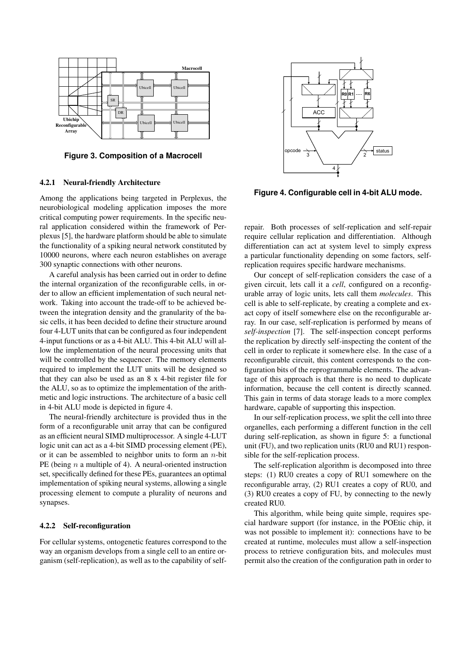

**Figure 3. Composition of a Macrocell**

#### **4.2.1 Neural-friendly Architecture**

Among the applications being targeted in Perplexus, the neurobiological modeling application imposes the more critical computing power requirements. In the specific neural application considered within the framework of Perplexus [5], the hardware platform should be able to simulate the functionality of a spiking neural network constituted by 10000 neurons, where each neuron establishes on average 300 synaptic connections with other neurons.

A careful analysis has been carried out in order to define the internal organization of the reconfigurable cells, in order to allow an efficient implementation of such neural network. Taking into account the trade-off to be achieved between the integration density and the granularity of the basic cells, it has been decided to define their structure around four 4-LUT units that can be configured as four independent 4-input functions or as a 4-bit ALU. This 4-bit ALU will allow the implementation of the neural processing units that will be controlled by the sequencer. The memory elements required to implement the LUT units will be designed so that they can also be used as an 8 x 4-bit register file for the ALU, so as to optimize the implementation of the arithmetic and logic instructions. The architecture of a basic cell in 4-bit ALU mode is depicted in figure 4.

The neural-friendly architecture is provided thus in the form of a reconfigurable unit array that can be configured as an efficient neural SIMD multiprocessor. A single 4-LUT logic unit can act as a 4-bit SIMD processing element (PE), or it can be assembled to neighbor units to form an  $n$ -bit PE (being  $n$  a multiple of 4). A neural-oriented instruction set, specifically defined for these PEs, guarantees an optimal implementation of spiking neural systems, allowing a single processing element to compute a plurality of neurons and synapses.

#### **4.2.2 Self-reconfiguration**

For cellular systems, ontogenetic features correspond to the way an organism develops from a single cell to an entire organism (self-replication), as well as to the capability of self-



**Figure 4. Configurable cell in 4-bit ALU mode.**

repair. Both processes of self-replication and self-repair require cellular replication and differentiation. Although differentiation can act at system level to simply express a particular functionality depending on some factors, selfreplication requires specific hardware mechanisms.

Our concept of self-replication considers the case of a given circuit, lets call it a *cell*, configured on a reconfigurable array of logic units, lets call them *molecules*. This cell is able to self-replicate, by creating a complete and exact copy of itself somewhere else on the reconfigurable array. In our case, self-replication is performed by means of *self-inspection* [7]. The self-inspection concept performs the replication by directly self-inspecting the content of the cell in order to replicate it somewhere else. In the case of a reconfigurable circuit, this content corresponds to the configuration bits of the reprogrammable elements. The advantage of this approach is that there is no need to duplicate information, because the cell content is directly scanned. This gain in terms of data storage leads to a more complex hardware, capable of supporting this inspection.

In our self-replication process, we split the cell into three organelles, each performing a different function in the cell during self-replication, as shown in figure 5: a functional unit (FU), and two replication units (RU0 and RU1) responsible for the self-replication process.

The self-replication algorithm is decomposed into three steps: (1) RU0 creates a copy of RU1 somewhere on the reconfigurable array, (2) RU1 creates a copy of RU0, and (3) RU0 creates a copy of FU, by connecting to the newly created RU0.

This algorithm, while being quite simple, requires special hardware support (for instance, in the POEtic chip, it was not possible to implement it): connections have to be created at runtime, molecules must allow a self-inspection process to retrieve configuration bits, and molecules must permit also the creation of the configuration path in order to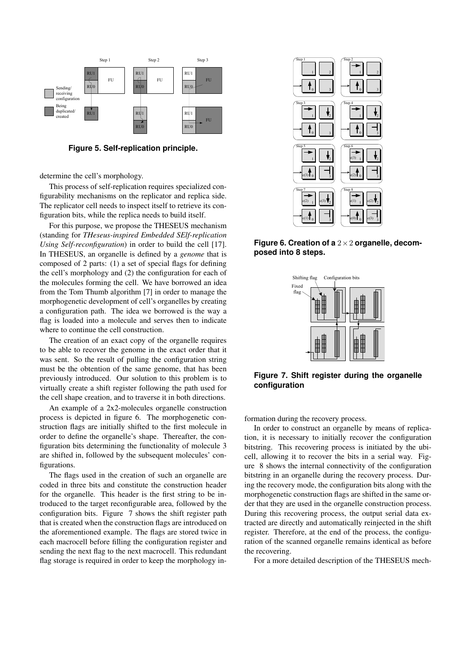

**Figure 5. Self-replication principle.**

determine the cell's morphology.

This process of self-replication requires specialized configurability mechanisms on the replicator and replica side. The replicator cell needs to inspect itself to retrieve its configuration bits, while the replica needs to build itself.

For this purpose, we propose the THESEUS mechanism (standing for *THeseus-inspired Embedded SElf-replication Using Self-reconfiguration*) in order to build the cell [17]. In THESEUS, an organelle is defined by a *genome* that is composed of 2 parts: (1) a set of special flags for defining the cell's morphology and (2) the configuration for each of the molecules forming the cell. We have borrowed an idea from the Tom Thumb algorithm [7] in order to manage the morphogenetic development of cell's organelles by creating a configuration path. The idea we borrowed is the way a flag is loaded into a molecule and serves then to indicate where to continue the cell construction.

The creation of an exact copy of the organelle requires to be able to recover the genome in the exact order that it was sent. So the result of pulling the configuration string must be the obtention of the same genome, that has been previously introduced. Our solution to this problem is to virtually create a shift register following the path used for the cell shape creation, and to traverse it in both directions.

An example of a 2x2-molecules organelle construction process is depicted in figure 6. The morphogenetic construction flags are initially shifted to the first molecule in order to define the organelle's shape. Thereafter, the configuration bits determining the functionality of molecule 3 are shifted in, followed by the subsequent molecules' configurations.

The flags used in the creation of such an organelle are coded in three bits and constitute the construction header for the organelle. This header is the first string to be introduced to the target reconfigurable area, followed by the configuration bits. Figure 7 shows the shift register path that is created when the construction flags are introduced on the aforementioned example. The flags are stored twice in each macrocell before filling the configuration register and sending the next flag to the next macrocell. This redundant flag storage is required in order to keep the morphology in-



**Figure 6. Creation of a** 2×2 **organelle, decomposed into 8 steps.**



**Figure 7. Shift register during the organelle configuration**

formation during the recovery process.

In order to construct an organelle by means of replication, it is necessary to initially recover the configuration bitstring. This recovering process is initiated by the ubicell, allowing it to recover the bits in a serial way. Figure 8 shows the internal connectivity of the configuration bitstring in an organelle during the recovery process. During the recovery mode, the configuration bits along with the morphogenetic construction flags are shifted in the same order that they are used in the organelle construction process. During this recovering process, the output serial data extracted are directly and automatically reinjected in the shift register. Therefore, at the end of the process, the configuration of the scanned organelle remains identical as before the recovering.

For a more detailed description of the THESEUS mech-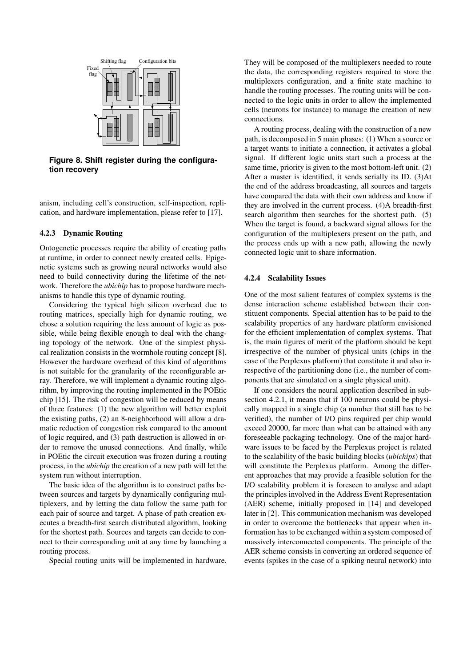

**Figure 8. Shift register during the configuration recovery**

anism, including cell's construction, self-inspection, replication, and hardware implementation, please refer to [17].

#### **4.2.3 Dynamic Routing**

Ontogenetic processes require the ability of creating paths at runtime, in order to connect newly created cells. Epigenetic systems such as growing neural networks would also need to build connectivity during the lifetime of the network. Therefore the *ubichip* has to propose hardware mechanisms to handle this type of dynamic routing.

Considering the typical high silicon overhead due to routing matrices, specially high for dynamic routing, we chose a solution requiring the less amount of logic as possible, while being flexible enough to deal with the changing topology of the network. One of the simplest physical realization consists in the wormhole routing concept [8]. However the hardware overhead of this kind of algorithms is not suitable for the granularity of the reconfigurable array. Therefore, we will implement a dynamic routing algorithm, by improving the routing implemented in the POEtic chip [15]. The risk of congestion will be reduced by means of three features: (1) the new algorithm will better exploit the existing paths, (2) an 8-neighborhood will allow a dramatic reduction of congestion risk compared to the amount of logic required, and (3) path destruction is allowed in order to remove the unused connections. And finally, while in POEtic the circuit execution was frozen during a routing process, in the *ubichip* the creation of a new path will let the system run without interruption.

The basic idea of the algorithm is to construct paths between sources and targets by dynamically configuring multiplexers, and by letting the data follow the same path for each pair of source and target. A phase of path creation executes a breadth-first search distributed algorithm, looking for the shortest path. Sources and targets can decide to connect to their corresponding unit at any time by launching a routing process.

Special routing units will be implemented in hardware.

They will be composed of the multiplexers needed to route the data, the corresponding registers required to store the multiplexers configuration, and a finite state machine to handle the routing processes. The routing units will be connected to the logic units in order to allow the implemented cells (neurons for instance) to manage the creation of new connections.

A routing process, dealing with the construction of a new path, is decomposed in 5 main phases: (1) When a source or a target wants to initiate a connection, it activates a global signal. If different logic units start such a process at the same time, priority is given to the most bottom-left unit. (2) After a master is identified, it sends serially its ID. (3)At the end of the address broadcasting, all sources and targets have compared the data with their own address and know if they are involved in the current process. (4)A breadth-first search algorithm then searches for the shortest path. (5) When the target is found, a backward signal allows for the configuration of the multiplexers present on the path, and the process ends up with a new path, allowing the newly connected logic unit to share information.

#### **4.2.4 Scalability Issues**

One of the most salient features of complex systems is the dense interaction scheme established between their constituent components. Special attention has to be paid to the scalability properties of any hardware platform envisioned for the efficient implementation of complex systems. That is, the main figures of merit of the platform should be kept irrespective of the number of physical units (chips in the case of the Perplexus platform) that constitute it and also irrespective of the partitioning done (i.e., the number of components that are simulated on a single physical unit).

If one considers the neural application described in subsection 4.2.1, it means that if 100 neurons could be physically mapped in a single chip (a number that still has to be verified), the number of I/O pins required per chip would exceed 20000, far more than what can be attained with any foreseeable packaging technology. One of the major hardware issues to be faced by the Perplexus project is related to the scalability of the basic building blocks (*ubichips*) that will constitute the Perplexus platform. Among the different approaches that may provide a feasible solution for the I/O scalability problem it is foreseen to analyse and adapt the principles involved in the Address Event Representation (AER) scheme, initially proposed in [14] and developed later in [2]. This communication mechanism was developed in order to overcome the bottlenecks that appear when information has to be exchanged within a system composed of massively interconnected components. The principle of the AER scheme consists in converting an ordered sequence of events (spikes in the case of a spiking neural network) into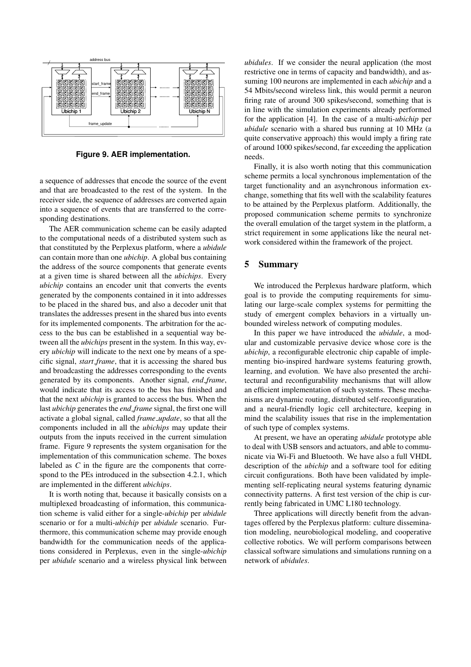

**Figure 9. AER implementation.**

a sequence of addresses that encode the source of the event and that are broadcasted to the rest of the system. In the receiver side, the sequence of addresses are converted again into a sequence of events that are transferred to the corresponding destinations.

The AER communication scheme can be easily adapted to the computational needs of a distributed system such as that constituted by the Perplexus platform, where a *ubidule* can contain more than one *ubichip*. A global bus containing the address of the source components that generate events at a given time is shared between all the *ubichips*. Every *ubichip* contains an encoder unit that converts the events generated by the components contained in it into addresses to be placed in the shared bus, and also a decoder unit that translates the addresses present in the shared bus into events for its implemented components. The arbitration for the access to the bus can be established in a sequential way between all the *ubichips* present in the system. In this way, every *ubichip* will indicate to the next one by means of a specific signal, *start frame*, that it is accessing the shared bus and broadcasting the addresses corresponding to the events generated by its components. Another signal, *end frame*, would indicate that its access to the bus has finished and that the next *ubichip* is granted to access the bus. When the last *ubichip* generates the *end frame* signal, the first one will activate a global signal, called *frame update*, so that all the components included in all the *ubichips* may update their outputs from the inputs received in the current simulation frame. Figure 9 represents the system organisation for the implementation of this communication scheme. The boxes labeled as *C* in the figure are the components that correspond to the PEs introduced in the subsection 4.2.1, which are implemented in the different *ubichips*.

It is worth noting that, because it basically consists on a multiplexed broadcasting of information, this communication scheme is valid either for a single-*ubichip* per *ubidule* scenario or for a multi-*ubichip* per *ubidule* scenario. Furthermore, this communication scheme may provide enough bandwidth for the communication needs of the applications considered in Perplexus, even in the single-*ubichip* per *ubidule* scenario and a wireless physical link between *ubidules*. If we consider the neural application (the most restrictive one in terms of capacity and bandwidth), and assuming 100 neurons are implemented in each *ubichip* and a 54 Mbits/second wireless link, this would permit a neuron firing rate of around 300 spikes/second, something that is in line with the simulation experiments already performed for the application [4]. In the case of a multi-*ubichip* per *ubidule* scenario with a shared bus running at 10 MHz (a quite conservative approach) this would imply a firing rate of around 1000 spikes/second, far exceeding the application needs.

Finally, it is also worth noting that this communication scheme permits a local synchronous implementation of the target functionality and an asynchronous information exchange, something that fits well with the scalability features to be attained by the Perplexus platform. Additionally, the proposed communication scheme permits to synchronize the overall emulation of the target system in the platform, a strict requirement in some applications like the neural network considered within the framework of the project.

# **5 Summary**

We introduced the Perplexus hardware platform, which goal is to provide the computing requirements for simulating our large-scale complex systems for permitting the study of emergent complex behaviors in a virtually unbounded wireless network of computing modules.

In this paper we have introduced the *ubidule*, a modular and customizable pervasive device whose core is the *ubichip*, a reconfigurable electronic chip capable of implementing bio-inspired hardware systems featuring growth, learning, and evolution. We have also presented the architectural and reconfigurability mechanisms that will allow an efficient implementation of such systems. These mechanisms are dynamic routing, distributed self-reconfiguration, and a neural-friendly logic cell architecture, keeping in mind the scalability issues that rise in the implementation of such type of complex systems.

At present, we have an operating *ubidule* prototype able to deal with USB sensors and actuators, and able to communicate via Wi-Fi and Bluetooth. We have also a full VHDL description of the *ubichip* and a software tool for editing circuit configurations. Both have been validated by implementing self-replicating neural systems featuring dynamic connectivity patterns. A first test version of the chip is currently being fabricated in UMC L180 technology.

Three applications will directly benefit from the advantages offered by the Perplexus platform: culture dissemination modeling, neurobiological modeling, and cooperative collective robotics. We will perform comparisons between classical software simulations and simulations running on a network of *ubidules*.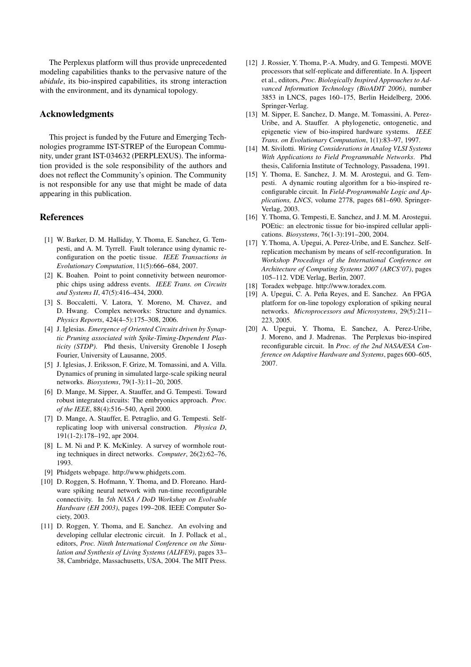The Perplexus platform will thus provide unprecedented modeling capabilities thanks to the pervasive nature of the *ubidule*, its bio-inspired capabilities, its strong interaction with the environment, and its dynamical topology.

#### **Acknowledgments**

This project is funded by the Future and Emerging Technologies programme IST-STREP of the European Community, under grant IST-034632 (PERPLEXUS). The information provided is the sole responsibility of the authors and does not reflect the Community's opinion. The Community is not responsible for any use that might be made of data appearing in this publication.

# **References**

- [1] W. Barker, D. M. Halliday, Y. Thoma, E. Sanchez, G. Tempesti, and A. M. Tyrrell. Fault tolerance using dynamic reconfiguration on the poetic tissue. *IEEE Transactions in Evolutionary Computation*, 11(5):666–684, 2007.
- [2] K. Boahen. Point to point connetivity between neuromorphic chips using address events. *IEEE Trans. on Circuits and Systems II*, 47(5):416–434, 2000.
- [3] S. Boccaletti, V. Latora, Y. Moreno, M. Chavez, and D. Hwang. Complex networks: Structure and dynamics. *Physics Reports*, 424(4–5):175–308, 2006.
- [4] J. Iglesias. *Emergence of Oriented Circuits driven by Synaptic Pruning associated with Spike-Timing-Dependent Plasticity (STDP)*. Phd thesis, University Grenoble I Joseph Fourier, University of Lausanne, 2005.
- [5] J. Iglesias, J. Eriksson, F. Grize, M. Tomassini, and A. Villa. Dynamics of pruning in simulated large-scale spiking neural networks. *Biosystems*, 79(1-3):11–20, 2005.
- [6] D. Mange, M. Sipper, A. Stauffer, and G. Tempesti. Toward robust integrated circuits: The embryonics approach. *Proc. of the IEEE*, 88(4):516–540, April 2000.
- [7] D. Mange, A. Stauffer, E. Petraglio, and G. Tempesti. Selfreplicating loop with universal construction. *Physica D*, 191(1-2):178–192, apr 2004.
- [8] L. M. Ni and P. K. McKinley. A survey of wormhole routing techniques in direct networks. *Computer*, 26(2):62–76, 1993.
- [9] Phidgets webpage. http://www.phidgets.com.
- [10] D. Roggen, S. Hofmann, Y. Thoma, and D. Floreano. Hardware spiking neural network with run-time reconfigurable connectivity. In *5th NASA / DoD Workshop on Evolvable Hardware (EH 2003)*, pages 199–208. IEEE Computer Society, 2003.
- [11] D. Roggen, Y. Thoma, and E. Sanchez. An evolving and developing cellular electronic circuit. In J. Pollack et al., editors, *Proc. Ninth International Conference on the Simulation and Synthesis of Living Systems (ALIFE9)*, pages 33– 38, Cambridge, Massachusetts, USA, 2004. The MIT Press.
- [12] J. Rossier, Y. Thoma, P.-A. Mudry, and G. Tempesti. MOVE processors that self-replicate and differentiate. In A. Ijspeert et al., editors, *Proc. Biologically Inspired Approaches to Advanced Information Technology (BioADIT 2006)*, number 3853 in LNCS, pages 160–175, Berlin Heidelberg, 2006. Springer-Verlag.
- [13] M. Sipper, E. Sanchez, D. Mange, M. Tomassini, A. Perez-Uribe, and A. Stauffer. A phylogenetic, ontogenetic, and epigenetic view of bio-inspired hardware systems. *IEEE Trans. on Evolutionary Computation*, 1(1):83–97, 1997.
- [14] M. Sivilotti. *Wiring Considerations in Analog VLSI Systems With Applications to Field Programmable Networks*. Phd thesis, California Institute of Technology, Passadena, 1991.
- [15] Y. Thoma, E. Sanchez, J. M. M. Arostegui, and G. Tempesti. A dynamic routing algorithm for a bio-inspired reconfigurable circuit. In *Field-Programmable Logic and Applications, LNCS*, volume 2778, pages 681–690. Springer-Verlag, 2003.
- [16] Y. Thoma, G. Tempesti, E. Sanchez, and J. M. M. Arostegui. POEtic: an electronic tissue for bio-inspired cellular applications. *Biosystems*, 76(1-3):191–200, 2004.
- [17] Y. Thoma, A. Upegui, A. Perez-Uribe, and E. Sanchez. Selfreplication mechanism by means of self-reconfiguration. In *Workshop Procedings of the International Conference on Architecture of Computing Systems 2007 (ARCS'07)*, pages 105–112. VDE Verlag, Berlin, 2007.
- [18] Toradex webpage. http://www.toradex.com.
- [19] A. Upegui, C. A. Peña Reyes, and E. Sanchez. An FPGA platform for on-line topology exploration of spiking neural networks. *Microprocessors and Microsystems*, 29(5):211– 223, 2005.
- [20] A. Upegui, Y. Thoma, E. Sanchez, A. Perez-Uribe, J. Moreno, and J. Madrenas. The Perplexus bio-inspired reconfigurable circuit. In *Proc. of the 2nd NASA/ESA Conference on Adaptive Hardware and Systems*, pages 600–605, 2007.